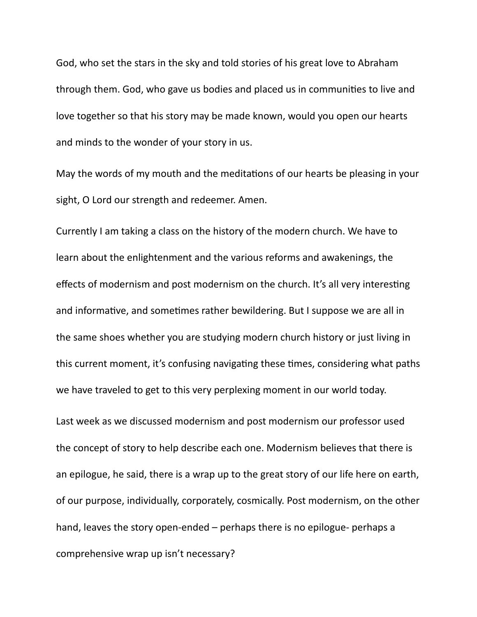God, who set the stars in the sky and told stories of his great love to Abraham through them. God, who gave us bodies and placed us in communities to live and love together so that his story may be made known, would you open our hearts and minds to the wonder of your story in us.

May the words of my mouth and the meditations of our hearts be pleasing in your sight, O Lord our strength and redeemer. Amen.

Currently I am taking a class on the history of the modern church. We have to learn about the enlightenment and the various reforms and awakenings, the effects of modernism and post modernism on the church. It's all very interesting and informative, and sometimes rather bewildering. But I suppose we are all in the same shoes whether you are studying modern church history or just living in this current moment, it's confusing navigating these times, considering what paths we have traveled to get to this very perplexing moment in our world today.

Last week as we discussed modernism and post modernism our professor used the concept of story to help describe each one. Modernism believes that there is an epilogue, he said, there is a wrap up to the great story of our life here on earth, of our purpose, individually, corporately, cosmically. Post modernism, on the other hand, leaves the story open-ended  $-$  perhaps there is no epilogue- perhaps a comprehensive wrap up isn't necessary?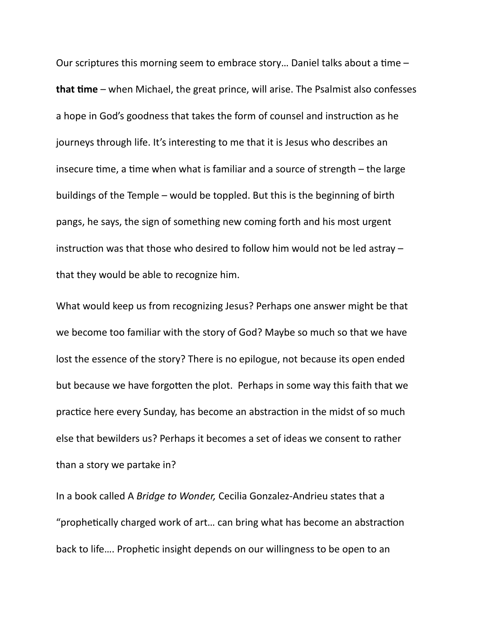Our scriptures this morning seem to embrace story... Daniel talks about a time  $$ **that time** – when Michael, the great prince, will arise. The Psalmist also confesses a hope in God's goodness that takes the form of counsel and instruction as he journeys through life. It's interesting to me that it is Jesus who describes an insecure time, a time when what is familiar and a source of strength  $-$  the large buildings of the Temple – would be toppled. But this is the beginning of birth pangs, he says, the sign of something new coming forth and his most urgent instruction was that those who desired to follow him would not be led astray  $$ that they would be able to recognize him.

What would keep us from recognizing Jesus? Perhaps one answer might be that we become too familiar with the story of God? Maybe so much so that we have lost the essence of the story? There is no epilogue, not because its open ended but because we have forgotten the plot. Perhaps in some way this faith that we practice here every Sunday, has become an abstraction in the midst of so much else that bewilders us? Perhaps it becomes a set of ideas we consent to rather than a story we partake in?

In a book called A *Bridge to Wonder*, Cecilia Gonzalez-Andrieu states that a "prophetically charged work of art... can bring what has become an abstraction back to life.... Prophetic insight depends on our willingness to be open to an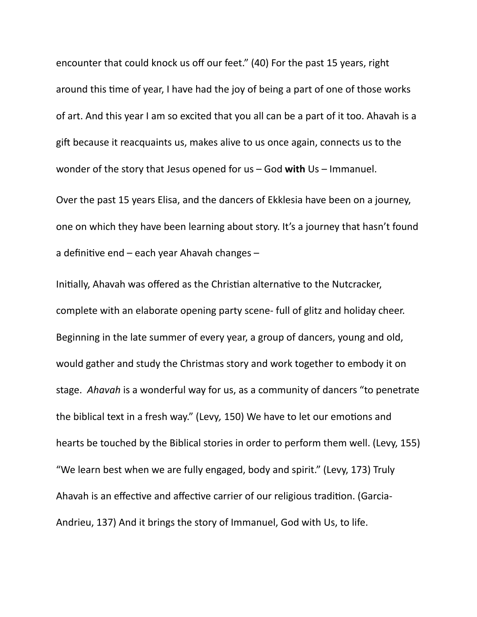encounter that could knock us off our feet." (40) For the past 15 years, right around this time of year, I have had the joy of being a part of one of those works of art. And this year I am so excited that you all can be a part of it too. Ahavah is a gift because it reacquaints us, makes alive to us once again, connects us to the wonder of the story that Jesus opened for us – God with Us – Immanuel.

Over the past 15 years Elisa, and the dancers of Ekklesia have been on a journey, one on which they have been learning about story. It's a journey that hasn't found a definitive end  $-$  each year Ahavah changes  $-$ 

Initially, Ahavah was offered as the Christian alternative to the Nutcracker, complete with an elaborate opening party scene- full of glitz and holiday cheer. Beginning in the late summer of every year, a group of dancers, young and old, would gather and study the Christmas story and work together to embody it on stage. Ahavah is a wonderful way for us, as a community of dancers "to penetrate the biblical text in a fresh way." (Levy, 150) We have to let our emotions and hearts be touched by the Biblical stories in order to perform them well. (Levy, 155) "We learn best when we are fully engaged, body and spirit." (Levy, 173) Truly Ahavah is an effective and affective carrier of our religious tradition. (Garcia-Andrieu, 137) And it brings the story of Immanuel, God with Us, to life.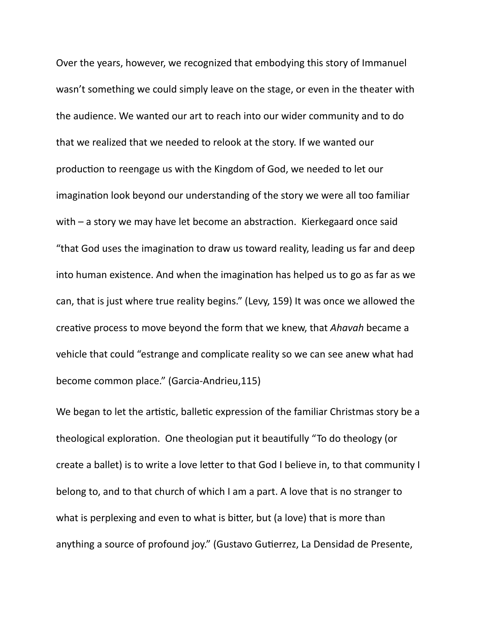Over the years, however, we recognized that embodying this story of Immanuel wasn't something we could simply leave on the stage, or even in the theater with the audience. We wanted our art to reach into our wider community and to do that we realized that we needed to relook at the story. If we wanted our production to reengage us with the Kingdom of God, we needed to let our imagination look beyond our understanding of the story we were all too familiar with  $-$  a story we may have let become an abstraction. Kierkegaard once said "that God uses the imagination to draw us toward reality, leading us far and deep into human existence. And when the imagination has helped us to go as far as we can, that is just where true reality begins." (Levy, 159) It was once we allowed the creative process to move beyond the form that we knew, that *Ahavah* became a vehicle that could "estrange and complicate reality so we can see anew what had become common place." (Garcia-Andrieu,115)

We began to let the artistic, balletic expression of the familiar Christmas story be a theological exploration. One theologian put it beautifully "To do theology (or create a ballet) is to write a love letter to that God I believe in, to that community I belong to, and to that church of which I am a part. A love that is no stranger to what is perplexing and even to what is bitter, but (a love) that is more than anything a source of profound joy." (Gustavo Gutierrez, La Densidad de Presente,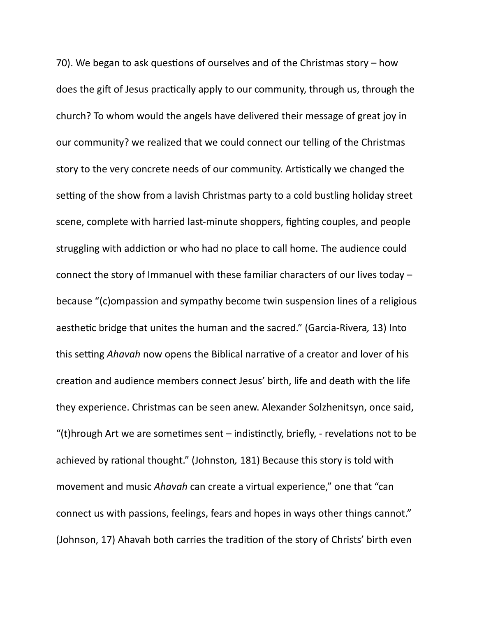70). We began to ask questions of ourselves and of the Christmas story  $-$  how does the gift of Jesus practically apply to our community, through us, through the church? To whom would the angels have delivered their message of great joy in our community? we realized that we could connect our telling of the Christmas story to the very concrete needs of our community. Artistically we changed the setting of the show from a lavish Christmas party to a cold bustling holiday street scene, complete with harried last-minute shoppers, fighting couples, and people struggling with addiction or who had no place to call home. The audience could connect the story of Immanuel with these familiar characters of our lives today  $$ because "(c)ompassion and sympathy become twin suspension lines of a religious aesthetic bridge that unites the human and the sacred." (Garcia-Rivera, 13) Into this setting *Ahavah* now opens the Biblical narrative of a creator and lover of his creation and audience members connect Jesus' birth, life and death with the life they experience. Christmas can be seen anew. Alexander Solzhenitsyn, once said, "(t)hrough Art we are sometimes sent  $-$  indistinctly, briefly,  $-$  revelations not to be achieved by rational thought." (Johnston, 181) Because this story is told with movement and music *Ahavah* can create a virtual experience," one that "can connect us with passions, feelings, fears and hopes in ways other things cannot." (Johnson, 17) Ahavah both carries the tradition of the story of Christs' birth even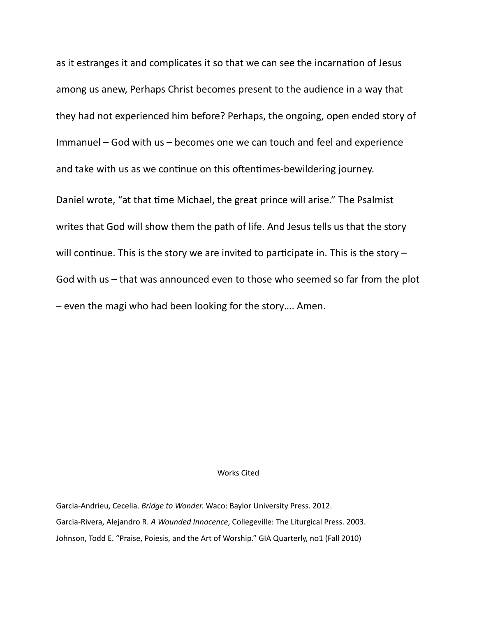as it estranges it and complicates it so that we can see the incarnation of Jesus among us anew, Perhaps Christ becomes present to the audience in a way that they had not experienced him before? Perhaps, the ongoing, open ended story of Immanuel  $-$  God with us  $-$  becomes one we can touch and feel and experience and take with us as we continue on this oftentimes-bewildering journey.

Daniel wrote, "at that time Michael, the great prince will arise." The Psalmist writes that God will show them the path of life. And Jesus tells us that the story will continue. This is the story we are invited to participate in. This is the story  $-$ God with us – that was announced even to those who seemed so far from the plot - even the magi who had been looking for the story.... Amen.

## Works Cited

Garcia-Andrieu, Cecelia. *Bridge to Wonder*. Waco: Baylor University Press. 2012. Garcia-Rivera, Alejandro R. A Wounded Innocence, Collegeville: The Liturgical Press. 2003. Johnson, Todd E. "Praise, Poiesis, and the Art of Worship." GIA Quarterly, no1 (Fall 2010)